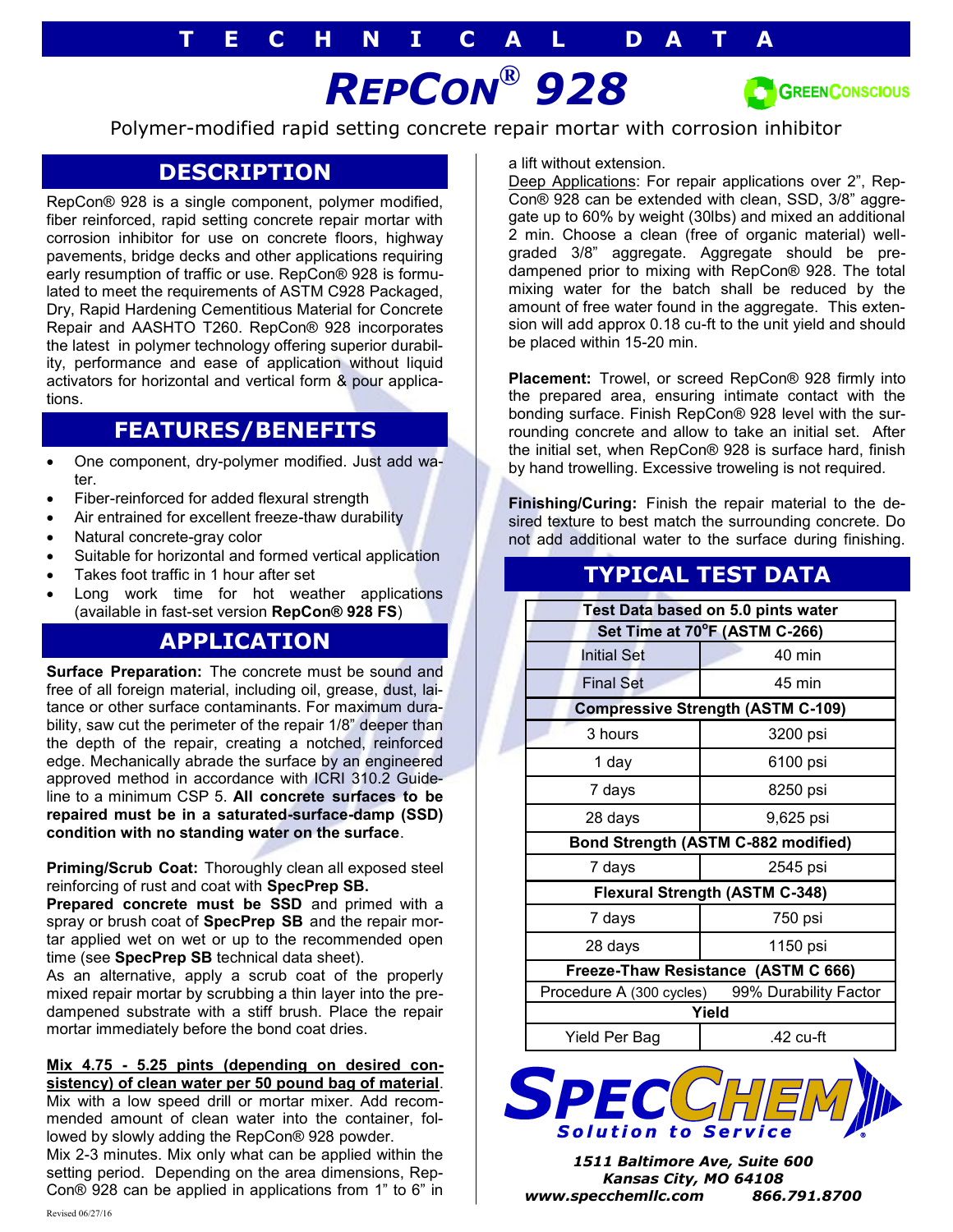# *REPCON® 928*



Polymer-modified rapid setting concrete repair mortar with corrosion inhibitor

## **DESCRIPTION**

RepCon® 928 is a single component, polymer modified, fiber reinforced, rapid setting concrete repair mortar with corrosion inhibitor for use on concrete floors, highway pavements, bridge decks and other applications requiring early resumption of traffic or use. RepCon® 928 is formulated to meet the requirements of ASTM C928 Packaged, Dry, Rapid Hardening Cementitious Material for Concrete Repair and AASHTO T260. RepCon® 928 incorporates the latest in polymer technology offering superior durability, performance and ease of application without liquid activators for horizontal and vertical form & pour applications.

## **FEATURES/BENEFITS**

- One component, dry-polymer modified. Just add water.
- Fiber-reinforced for added flexural strength
- Air entrained for excellent freeze-thaw durability
- Natural concrete-gray color
- Suitable for horizontal and formed vertical application
- Takes foot traffic in 1 hour after set
- Long work time for hot weather applications (available in fast-set version **RepCon® 928 FS**)

## **APPLICATION**

**Surface Preparation:** The concrete must be sound and free of all foreign material, including oil, grease, dust, laitance or other surface contaminants. For maximum durability, saw cut the perimeter of the repair 1/8" deeper than the depth of the repair, creating a notched, reinforced edge. Mechanically abrade the surface by an engineered approved method in accordance with ICRI 310.2 Guideline to a minimum CSP 5. **All concrete surfaces to be repaired must be in a saturated-surface-damp (SSD) condition with no standing water on the surface**.

**Priming/Scrub Coat:** Thoroughly clean all exposed steel reinforcing of rust and coat with **SpecPrep SB.** 

**Prepared concrete must be SSD** and primed with a spray or brush coat of **SpecPrep SB** and the repair mortar applied wet on wet or up to the recommended open time (see **SpecPrep SB** technical data sheet).

As an alternative, apply a scrub coat of the properly mixed repair mortar by scrubbing a thin layer into the predampened substrate with a stiff brush. Place the repair mortar immediately before the bond coat dries.

#### **Mix 4.75 - 5.25 pints (depending on desired consistency) of clean water per 50 pound bag of material**.

Mix with a low speed drill or mortar mixer. Add recommended amount of clean water into the container, followed by slowly adding the RepCon® 928 powder.

Mix 2-3 minutes. Mix only what can be applied within the setting period. Depending on the area dimensions, Rep-Con® 928 can be applied in applications from 1" to 6" in a lift without extension.

Deep Applications: For repair applications over 2", Rep-Con® 928 can be extended with clean, SSD, 3/8" aggregate up to 60% by weight (30lbs) and mixed an additional 2 min. Choose a clean (free of organic material) wellgraded 3/8" aggregate. Aggregate should be predampened prior to mixing with RepCon® 928. The total mixing water for the batch shall be reduced by the amount of free water found in the aggregate. This extension will add approx 0.18 cu-ft to the unit yield and should be placed within 15-20 min.

**Placement:** Trowel, or screed RepCon® 928 firmly into the prepared area, ensuring intimate contact with the bonding surface. Finish RepCon® 928 level with the surrounding concrete and allow to take an initial set. After the initial set, when RepCon® 928 is surface hard, finish by hand trowelling. Excessive troweling is not required.

**Finishing/Curing:** Finish the repair material to the desired texture to best match the surrounding concrete. Do not add additional water to the surface during finishing.

# **TYPICAL TEST DATA**

| Test Data based on 5.0 pints water       |                                                |
|------------------------------------------|------------------------------------------------|
| Set Time at 70°F (ASTM C-266)            |                                                |
| <b>Initial Set</b>                       | $40 \text{ min}$                               |
| <b>Final Set</b>                         | 45 min                                         |
| <b>Compressive Strength (ASTM C-109)</b> |                                                |
| 3 hours                                  | 3200 psi                                       |
| 1 day                                    | 6100 psi                                       |
| 7 days                                   | 8250 psi                                       |
| 28 days                                  | 9,625 psi                                      |
| Bond Strength (ASTM C-882 modified)      |                                                |
| 7 days                                   | 2545 psi                                       |
| <b>Flexural Strength (ASTM C-348)</b>    |                                                |
| 7 days                                   | 750 psi                                        |
| 28 days                                  | 1150 psi                                       |
| Freeze-Thaw Resistance (ASTM C 666)      |                                                |
|                                          | Procedure A (300 cycles) 99% Durability Factor |
| Yield                                    |                                                |
| Yield Per Bag                            | $.42$ cu-ft                                    |



*1511 Baltimore Ave, Suite 600 Kansas City, MO 64108 www.specchemllc.com 866.791.8700*